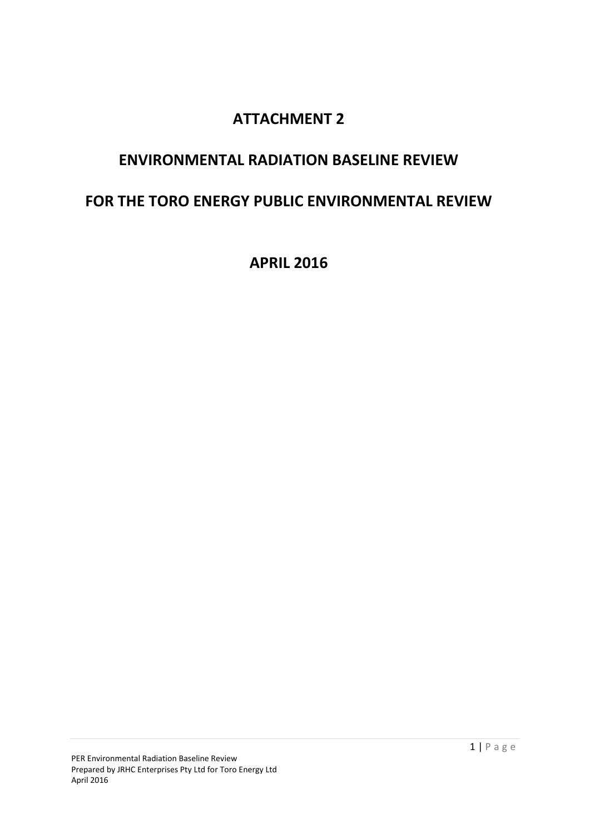# **ATTACHMENT 2**

# **ENVIRONMENTAL RADIATION BASELINE REVIEW**

# **FOR THE TORO ENERGY PUBLIC ENVIRONMENTAL REVIEW**

**APRIL 2016**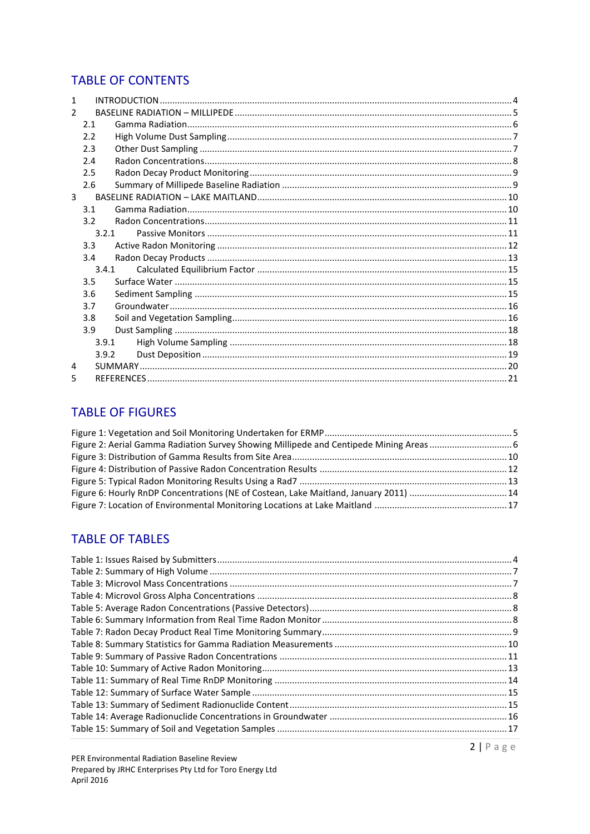# **TABLE OF CONTENTS**

| 1             |                  |  |
|---------------|------------------|--|
| $\mathcal{P}$ |                  |  |
|               | 2.1              |  |
|               | 2.2              |  |
|               | 2.3              |  |
|               | 2.4              |  |
|               | 2.5              |  |
|               | 2.6              |  |
| 3             |                  |  |
|               | 3.1              |  |
|               | 3.2 <sub>2</sub> |  |
|               | 3.2.1            |  |
|               | 3.3              |  |
|               | 3.4              |  |
|               | 3.4.1            |  |
|               | 3.5              |  |
|               | 3.6              |  |
|               | 3.7              |  |
|               | 3.8              |  |
|               | 3.9              |  |
|               | 3.9.1            |  |
|               | 3.9.2            |  |
| 4             |                  |  |
| 5             |                  |  |

## **TABLE OF FIGURES**

| Figure 2: Aerial Gamma Radiation Survey Showing Millipede and Centipede Mining Areas  6 |  |
|-----------------------------------------------------------------------------------------|--|
|                                                                                         |  |
|                                                                                         |  |
|                                                                                         |  |
| Figure 6: Hourly RnDP Concentrations (NE of Costean, Lake Maitland, January 2011)  14   |  |
|                                                                                         |  |

# **TABLE OF TABLES**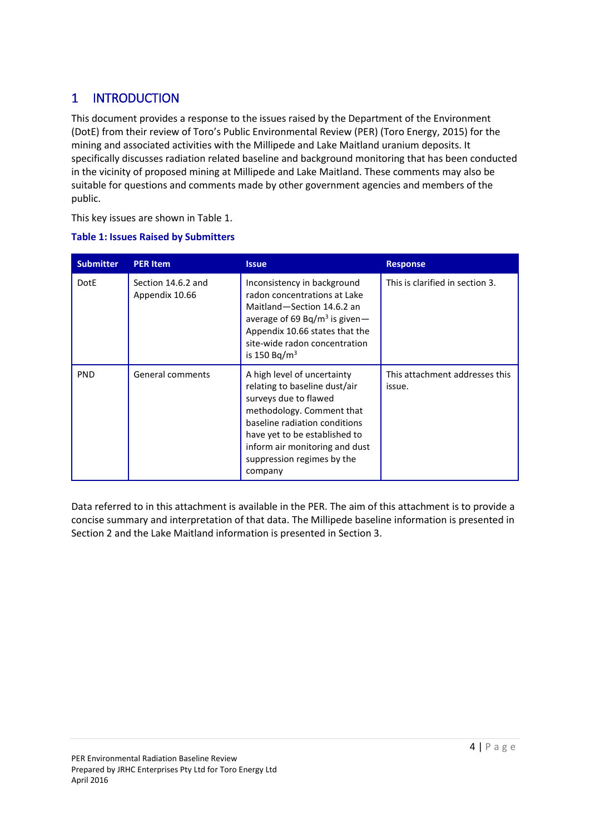# <span id="page-3-0"></span>1 INTRODUCTION

This document provides a response to the issues raised by the Department of the Environment (DotE) from their review of Toro's Public Environmental Review (PER) (Toro Energy, 2015) for the mining and associated activities with the Millipede and Lake Maitland uranium deposits. It specifically discusses radiation related baseline and background monitoring that has been conducted in the vicinity of proposed mining at Millipede and Lake Maitland. These comments may also be suitable for questions and comments made by other government agencies and members of the public.

This key issues are shown in [Table 1.](#page-3-1)

| <b>Submitter</b> | <b>PER Item</b>                      | <b>Issue</b>                                                                                                                                                                                                                                                    | <b>Response</b>                          |
|------------------|--------------------------------------|-----------------------------------------------------------------------------------------------------------------------------------------------------------------------------------------------------------------------------------------------------------------|------------------------------------------|
| <b>DotE</b>      | Section 14.6.2 and<br>Appendix 10.66 | Inconsistency in background<br>radon concentrations at Lake<br>Maitland-Section 14.6.2 an<br>average of 69 Bq/m <sup>3</sup> is given -<br>Appendix 10.66 states that the<br>site-wide radon concentration<br>is 150 Bq/m <sup>3</sup>                          | This is clarified in section 3.          |
| <b>PND</b>       | General comments                     | A high level of uncertainty<br>relating to baseline dust/air<br>surveys due to flawed<br>methodology. Comment that<br>baseline radiation conditions<br>have yet to be established to<br>inform air monitoring and dust<br>suppression regimes by the<br>company | This attachment addresses this<br>issue. |

<span id="page-3-1"></span>**Table 1: Issues Raised by Submitters** 

Data referred to in this attachment is available in the PER. The aim of this attachment is to provide a concise summary and interpretation of that data. The Millipede baseline information is presented in Sectio[n 2](#page-4-0) and the Lake Maitland information is presented in Section [3.](#page-9-0)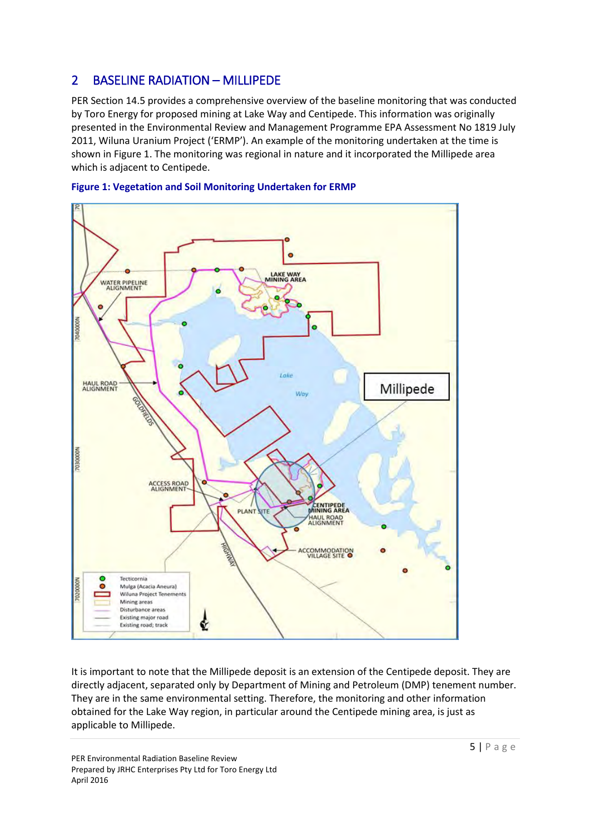# <span id="page-4-0"></span>2 BASELINE RADIATION – MILLIPEDE

PER Section 14.5 provides a comprehensive overview of the baseline monitoring that was conducted by Toro Energy for proposed mining at Lake Way and Centipede. This information was originally presented in the Environmental Review and Management Programme EPA Assessment No 1819 July 2011, Wiluna Uranium Project ('ERMP'). An example of the monitoring undertaken at the time is shown in [Figure 1.](#page-4-1) The monitoring was regional in nature and it incorporated the Millipede area which is adjacent to Centipede.



#### <span id="page-4-1"></span>**Figure 1: Vegetation and Soil Monitoring Undertaken for ERMP**

It is important to note that the Millipede deposit is an extension of the Centipede deposit. They are directly adjacent, separated only by Department of Mining and Petroleum (DMP) tenement number. They are in the same environmental setting. Therefore, the monitoring and other information obtained for the Lake Way region, in particular around the Centipede mining area, is just as applicable to Millipede.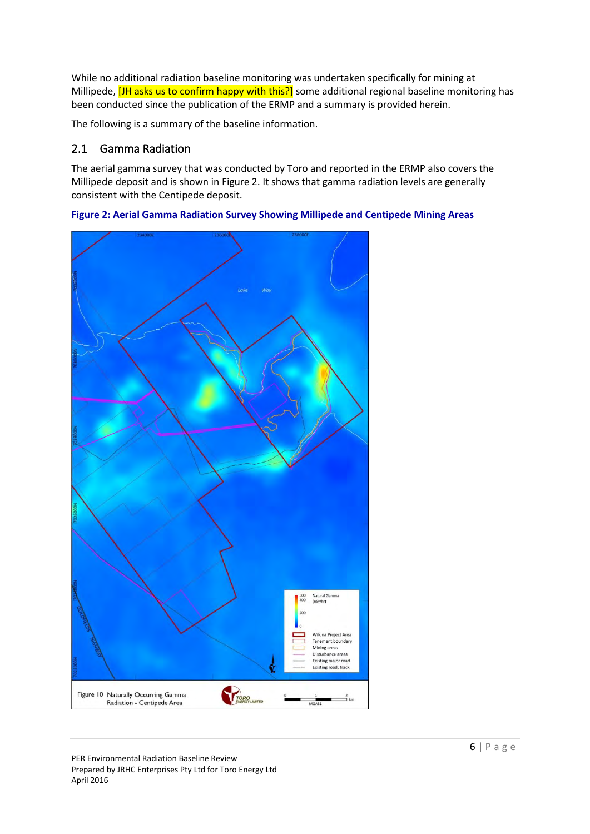While no additional radiation baseline monitoring was undertaken specifically for mining at Millipede, **[JH asks us to confirm happy with this?]** some additional regional baseline monitoring has been conducted since the publication of the ERMP and a summary is provided herein.

The following is a summary of the baseline information.

### <span id="page-5-0"></span>2.1 Gamma Radiation

The aerial gamma survey that was conducted by Toro and reported in the ERMP also covers the Millipede deposit and is shown in [Figure 2.](#page-5-1) It shows that gamma radiation levels are generally consistent with the Centipede deposit.



<span id="page-5-1"></span>

PER Environmental Radiation Baseline Review Prepared by JRHC Enterprises Pty Ltd for Toro Energy Ltd April 2016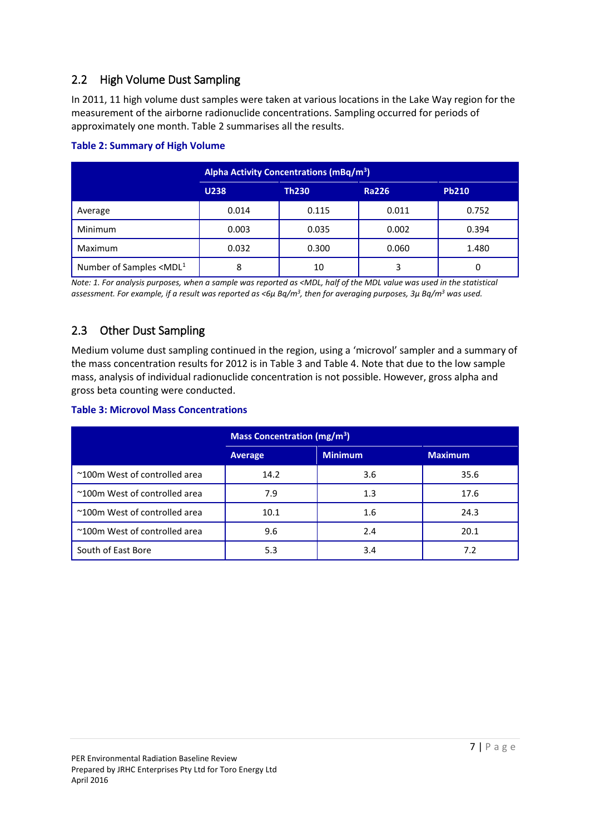### <span id="page-6-0"></span>2.2 High Volume Dust Sampling

In 2011, 11 high volume dust samples were taken at various locations in the Lake Way region for the measurement of the airborne radionuclide concentrations. Sampling occurred for periods of approximately one month[. Table 2](#page-6-2) summarises all the results.

|                                  | Alpha Activity Concentrations (mBq/m <sup>3</sup> ) |              |              |              |  |
|----------------------------------|-----------------------------------------------------|--------------|--------------|--------------|--|
|                                  | <b>U238</b>                                         | <b>Th230</b> | <b>Ra226</b> | <b>Pb210</b> |  |
| Average                          | 0.014                                               | 0.115        | 0.011        | 0.752        |  |
| <b>Minimum</b>                   | 0.003                                               | 0.035        | 0.002        | 0.394        |  |
| Maximum                          | 0.032                                               | 0.300        | 0.060        | 1.480        |  |
| Number of Samples $\leq MDL^{1}$ | 8                                                   | 10           | 3            | 0            |  |

### <span id="page-6-2"></span>**Table 2: Summary of High Volume**

*Note: 1. For analysis purposes, when a sample was reported as <MDL, half of the MDL value was used in the statistical*  assessment. For example, if a result was reported as <6μ Bq/m<sup>3</sup>, then for averaging purposes, 3μ Bq/m<sup>3</sup> was used.

## <span id="page-6-1"></span>2.3 Other Dust Sampling

Medium volume dust sampling continued in the region, using a 'microvol' sampler and a summary of the mass concentration results for 2012 is i[n Table 3](#page-6-3) and [Table 4.](#page-7-1) Note that due to the low sample mass, analysis of individual radionuclide concentration is not possible. However, gross alpha and gross beta counting were conducted.

### <span id="page-6-3"></span>**Table 3: Microvol Mass Concentrations**

|                               | Mass Concentration (mg/m <sup>3</sup> ) |                |                |  |
|-------------------------------|-----------------------------------------|----------------|----------------|--|
|                               | <b>Average</b>                          | <b>Minimum</b> | <b>Maximum</b> |  |
| ~100m West of controlled area | 14.2                                    | 3.6            | 35.6           |  |
| ~100m West of controlled area | 7.9                                     | 1.3            | 17.6           |  |
| ~100m West of controlled area | 10.1                                    | 1.6            | 24.3           |  |
| ~100m West of controlled area | 9.6                                     | 2.4            | 20.1           |  |
| South of East Bore            | 5.3                                     | 3.4            | 7.2            |  |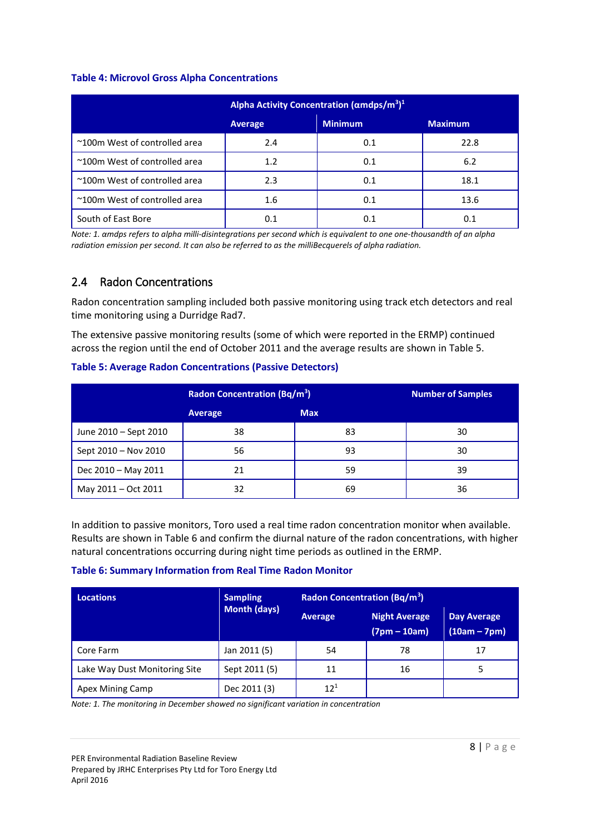#### <span id="page-7-1"></span>**Table 4: Microvol Gross Alpha Concentrations**

|                               | Alpha Activity Concentration ( $\alpha$ mdps/m <sup>3</sup> ) <sup>1</sup> |                |                |  |
|-------------------------------|----------------------------------------------------------------------------|----------------|----------------|--|
|                               | <b>Average</b>                                                             | <b>Minimum</b> | <b>Maximum</b> |  |
| ~100m West of controlled area | 2.4                                                                        | 0.1            | 22.8           |  |
| ~100m West of controlled area | 1.2                                                                        | 0.1            | 6.2            |  |
| ~100m West of controlled area | 2.3                                                                        | 0.1            | 18.1           |  |
| ~100m West of controlled area | 1.6                                                                        | 0.1            | 13.6           |  |
| South of East Bore            | 0.1                                                                        | 0.1            | 0.1            |  |

*Note: 1. αmdps refers to alpha milli-disintegrations per second which is equivalent to one one-thousandth of an alpha radiation emission per second. It can also be referred to as the milliBecquerels of alpha radiation.* 

### <span id="page-7-0"></span>2.4 Radon Concentrations

Radon concentration sampling included both passive monitoring using track etch detectors and real time monitoring using a Durridge Rad7.

The extensive passive monitoring results (some of which were reported in the ERMP) continued across the region until the end of October 2011 and the average results are shown in [Table 5.](#page-7-2)

|                       | <b>Radon Concentration (Bq/m<sup>3</sup>)</b> |            | <b>Number of Samples</b> |
|-----------------------|-----------------------------------------------|------------|--------------------------|
|                       | Average                                       | <b>Max</b> |                          |
| June 2010 - Sept 2010 | 38                                            | 83         | 30                       |
| Sept 2010 - Nov 2010  | 56                                            | 93         | 30                       |
| Dec 2010 - May 2011   | 21                                            | 59         | 39                       |
| May 2011 - Oct 2011   | 32                                            | 69         | 36                       |

### <span id="page-7-2"></span>**Table 5: Average Radon Concentrations (Passive Detectors)**

In addition to passive monitors, Toro used a real time radon concentration monitor when available. Results are shown i[n Table 6](#page-7-3) and confirm the diurnal nature of the radon concentrations, with higher natural concentrations occurring during night time periods as outlined in the ERMP.

### <span id="page-7-3"></span>**Table 6: Summary Information from Real Time Radon Monitor**

| <b>Locations</b>              | <b>Sampling</b> | <b>Radon Concentration (Bq/m<sup>3</sup>)</b> |                                        |                                      |
|-------------------------------|-----------------|-----------------------------------------------|----------------------------------------|--------------------------------------|
|                               | Month (days)    | <b>Average</b>                                | <b>Night Average</b><br>$(7pm - 10am)$ | <b>Day Average</b><br>$(10am - 7pm)$ |
| Core Farm                     | Jan 2011 (5)    | 54                                            | 78                                     | 17                                   |
| Lake Way Dust Monitoring Site | Sept 2011 (5)   | 11                                            | 16                                     | 5                                    |
| Apex Mining Camp              | Dec 2011 (3)    | $12^{1}$                                      |                                        |                                      |

*Note: 1. The monitoring in December showed no significant variation in concentration*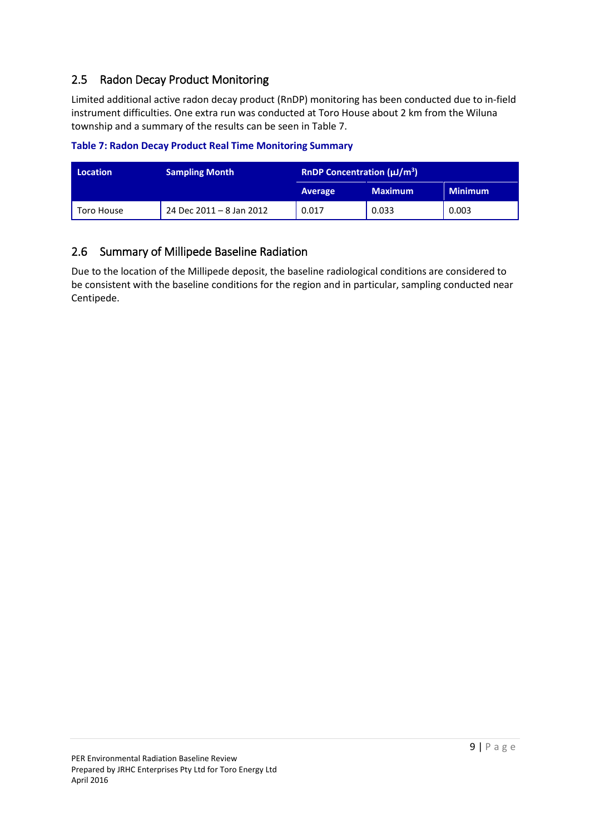## <span id="page-8-0"></span>2.5 Radon Decay Product Monitoring

Limited additional active radon decay product (RnDP) monitoring has been conducted due to in-field instrument difficulties. One extra run was conducted at Toro House about 2 km from the Wiluna township and a summary of the results can be seen in [Table 7.](#page-8-2)

<span id="page-8-2"></span>**Table 7: Radon Decay Product Real Time Monitoring Summary** 

| <b>Location</b> | <b>Sampling Month</b>    | <b>RnDP Concentration (<math>\mu</math>J/m<sup>3</sup>)</b> |                |                |
|-----------------|--------------------------|-------------------------------------------------------------|----------------|----------------|
|                 |                          | Average                                                     | <b>Maximum</b> | <b>Minimum</b> |
| Toro House      | 24 Dec 2011 - 8 Jan 2012 | 0.017                                                       | 0.033          | 0.003          |

### <span id="page-8-1"></span>2.6 Summary of Millipede Baseline Radiation

Due to the location of the Millipede deposit, the baseline radiological conditions are considered to be consistent with the baseline conditions for the region and in particular, sampling conducted near Centipede.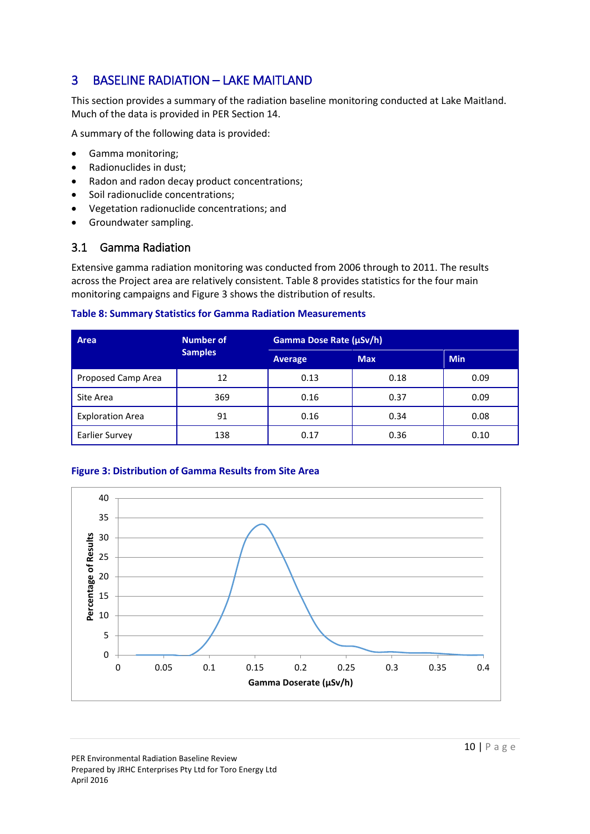# <span id="page-9-0"></span>3 BASELINE RADIATION – LAKE MAITLAND

This section provides a summary of the radiation baseline monitoring conducted at Lake Maitland. Much of the data is provided in PER Section 14.

A summary of the following data is provided:

- Gamma monitoring;
- Radionuclides in dust;
- Radon and radon decay product concentrations;
- Soil radionuclide concentrations;
- Vegetation radionuclide concentrations; and
- Groundwater sampling.

### <span id="page-9-1"></span>3.1 Gamma Radiation

Extensive gamma radiation monitoring was conducted from 2006 through to 2011. The results across the Project area are relatively consistent[. Table 8](#page-9-3) provides statistics for the four main monitoring campaigns an[d Figure 3](#page-9-2) shows the distribution of results.

#### <span id="page-9-3"></span>**Table 8: Summary Statistics for Gamma Radiation Measurements**

| Area                    | <b>Number of</b> | Gamma Dose Rate (µSv/h) |            |            |  |
|-------------------------|------------------|-------------------------|------------|------------|--|
|                         | <b>Samples</b>   | Average                 | <b>Max</b> | <b>Min</b> |  |
| Proposed Camp Area      | 12               | 0.13                    | 0.18       | 0.09       |  |
| Site Area               | 369              | 0.16                    | 0.37       | 0.09       |  |
| <b>Exploration Area</b> | 91               | 0.16                    | 0.34       | 0.08       |  |
| <b>Earlier Survey</b>   | 138              | 0.17                    | 0.36       | 0.10       |  |

### <span id="page-9-2"></span>**Figure 3: Distribution of Gamma Results from Site Area**

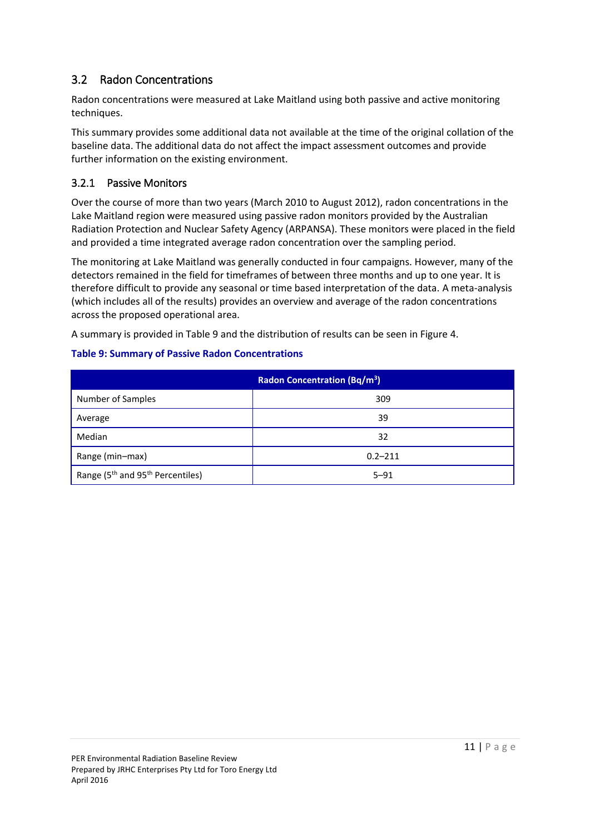## <span id="page-10-0"></span>3.2 Radon Concentrations

Radon concentrations were measured at Lake Maitland using both passive and active monitoring techniques.

This summary provides some additional data not available at the time of the original collation of the baseline data. The additional data do not affect the impact assessment outcomes and provide further information on the existing environment.

### <span id="page-10-1"></span>3.2.1 Passive Monitors

Over the course of more than two years (March 2010 to August 2012), radon concentrations in the Lake Maitland region were measured using passive radon monitors provided by the Australian Radiation Protection and Nuclear Safety Agency (ARPANSA). These monitors were placed in the field and provided a time integrated average radon concentration over the sampling period.

The monitoring at Lake Maitland was generally conducted in four campaigns. However, many of the detectors remained in the field for timeframes of between three months and up to one year. It is therefore difficult to provide any seasonal or time based interpretation of the data. A meta-analysis (which includes all of the results) provides an overview and average of the radon concentrations across the proposed operational area.

A summary is provided i[n Table 9](#page-10-2) and the distribution of results can be seen in [Figure 4.](#page-11-1)

| <b>Radon Concentration (Bq/m<sup>3</sup>)</b>            |             |  |  |  |
|----------------------------------------------------------|-------------|--|--|--|
| Number of Samples                                        | 309         |  |  |  |
| Average                                                  | 39          |  |  |  |
| Median                                                   | 32          |  |  |  |
| Range (min-max)                                          | $0.2 - 211$ |  |  |  |
| Range (5 <sup>th</sup> and 95 <sup>th</sup> Percentiles) | $5 - 91$    |  |  |  |

#### <span id="page-10-2"></span>**Table 9: Summary of Passive Radon Concentrations**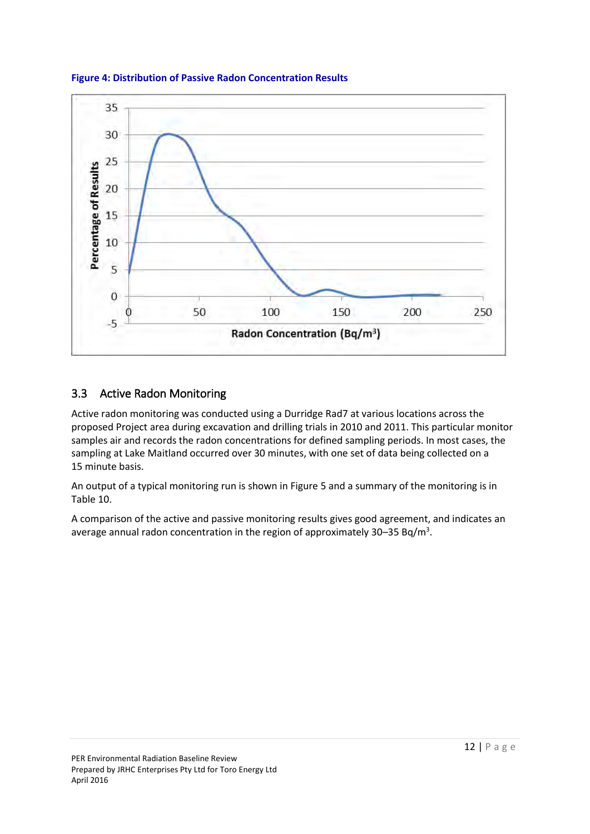

<span id="page-11-1"></span>**Figure 4: Distribution of Passive Radon Concentration Results** 

### <span id="page-11-0"></span>3.3 Active Radon Monitoring

Active radon monitoring was conducted using a Durridge Rad7 at various locations across the proposed Project area during excavation and drilling trials in 2010 and 2011. This particular monitor samples air and records the radon concentrations for defined sampling periods. In most cases, the sampling at Lake Maitland occurred over 30 minutes, with one set of data being collected on a 15 minute basis.

An output of a typical monitoring run is shown in [Figure 5](#page-12-1) and a summary of the monitoring is in [Table 10.](#page-12-2)

A comparison of the active and passive monitoring results gives good agreement, and indicates an average annual radon concentration in the region of approximately 30–35 Bq/m<sup>3</sup>.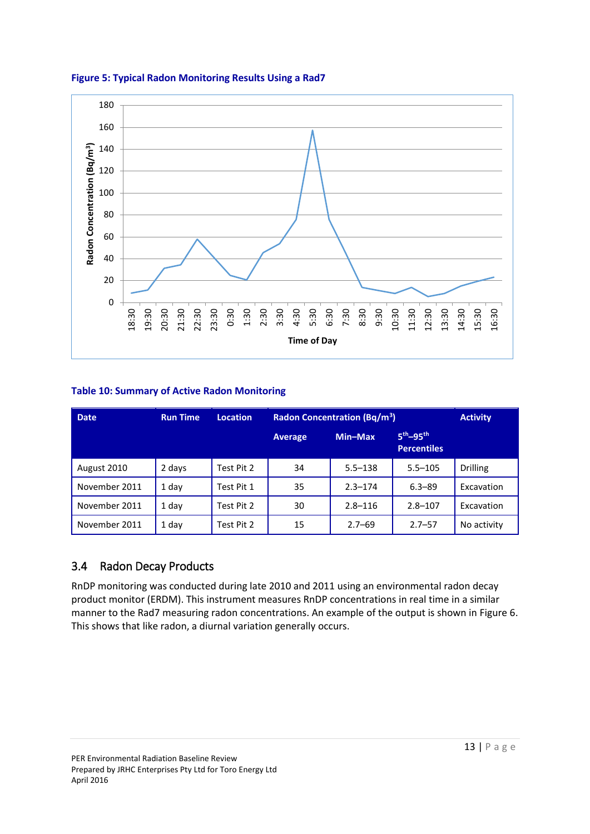

<span id="page-12-1"></span>**Figure 5: Typical Radon Monitoring Results Using a Rad7** 

### <span id="page-12-2"></span>**Table 10: Summary of Active Radon Monitoring**

| <b>Date</b>   | <b>Run Time</b> | <b>Location</b> | <b>Radon Concentration (Bq/m<sup>3</sup>)</b> |             |                                          | <b>Activity</b> |
|---------------|-----------------|-----------------|-----------------------------------------------|-------------|------------------------------------------|-----------------|
|               |                 |                 | <b>Average</b>                                | Min-Max     | $5^{th} - 95^{th}$<br><b>Percentiles</b> |                 |
| August 2010   | 2 days          | Test Pit 2      | 34                                            | $5.5 - 138$ | $5.5 - 105$                              | <b>Drilling</b> |
| November 2011 | 1 day           | Test Pit 1      | 35                                            | $2.3 - 174$ | $6.3 - 89$                               | Excavation      |
| November 2011 | 1 day           | Test Pit 2      | 30                                            | $2.8 - 116$ | $2.8 - 107$                              | Excavation      |
| November 2011 | 1 day           | Test Pit 2      | 15                                            | $2.7 - 69$  | $2.7 - 57$                               | No activity     |

### <span id="page-12-0"></span>3.4 Radon Decay Products

RnDP monitoring was conducted during late 2010 and 2011 using an environmental radon decay product monitor (ERDM). This instrument measures RnDP concentrations in real time in a similar manner to the Rad7 measuring radon concentrations. An example of the output is shown in [Figure 6.](#page-13-0) This shows that like radon, a diurnal variation generally occurs.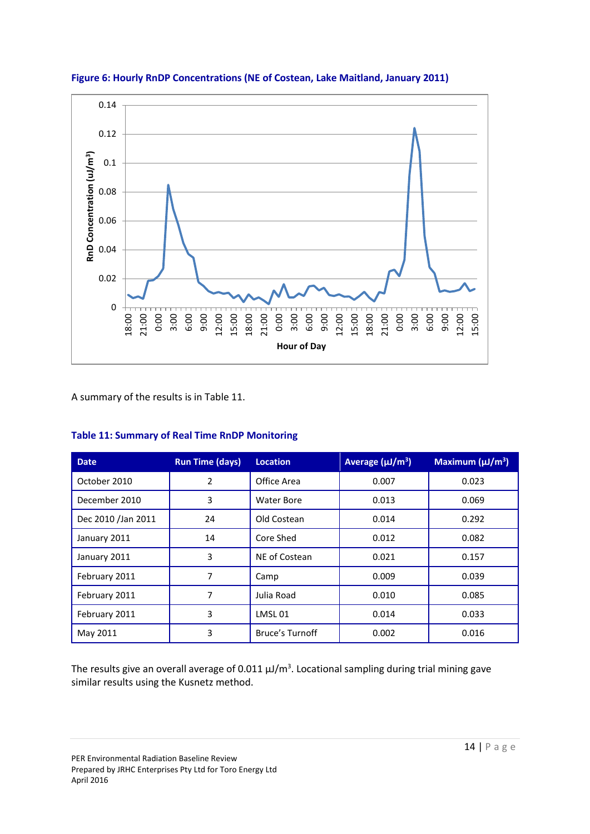

<span id="page-13-0"></span>**Figure 6: Hourly RnDP Concentrations (NE of Costean, Lake Maitland, January 2011)** 

A summary of the results is i[n Table 11.](#page-13-1)

| <b>Date</b>        | <b>Run Time (days)</b> | <b>Location</b>        | Average $(\mu J/m^3)$ | Maximum $(\mu J/m^3)$ |
|--------------------|------------------------|------------------------|-----------------------|-----------------------|
| October 2010       | 2                      | Office Area            | 0.007                 | 0.023                 |
| December 2010      | 3                      | Water Bore             | 0.013                 | 0.069                 |
| Dec 2010 /Jan 2011 | 24                     | Old Costean            | 0.014                 | 0.292                 |
| January 2011       | 14                     | Core Shed              | 0.012                 | 0.082                 |
| January 2011       | 3                      | NE of Costean          | 0.021                 | 0.157                 |
| February 2011      | 7                      | Camp                   | 0.009                 | 0.039                 |
| February 2011      | 7                      | Julia Road             | 0.010                 | 0.085                 |
| February 2011      | 3                      | LMSL01                 | 0.014                 | 0.033                 |
| May 2011           | 3                      | <b>Bruce's Turnoff</b> | 0.002                 | 0.016                 |

### <span id="page-13-1"></span>**Table 11: Summary of Real Time RnDP Monitoring**

The results give an overall average of 0.011  $\mu$ J/m<sup>3</sup>. Locational sampling during trial mining gave similar results using the Kusnetz method.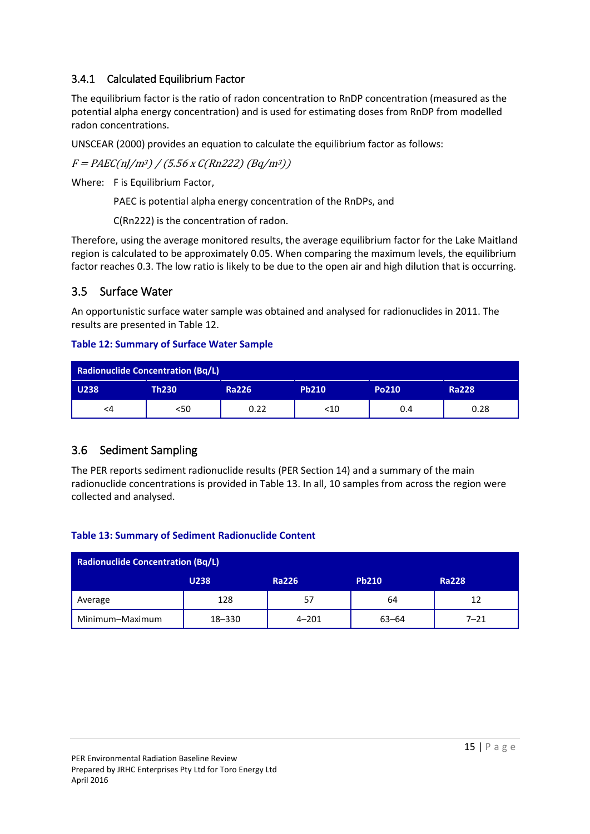### <span id="page-14-0"></span>3.4.1 Calculated Equilibrium Factor

The equilibrium factor is the ratio of radon concentration to RnDP concentration (measured as the potential alpha energy concentration) and is used for estimating doses from RnDP from modelled radon concentrations.

UNSCEAR (2000) provides an equation to calculate the equilibrium factor as follows:

 $F = PAEC(n)/m^3)/(5.56 \times C(Rn222) (Bq/m^3))$ 

Where: F is Equilibrium Factor,

PAEC is potential alpha energy concentration of the RnDPs, and

C(Rn222) is the concentration of radon.

Therefore, using the average monitored results, the average equilibrium factor for the Lake Maitland region is calculated to be approximately 0.05. When comparing the maximum levels, the equilibrium factor reaches 0.3. The low ratio is likely to be due to the open air and high dilution that is occurring.

### <span id="page-14-1"></span>3.5 Surface Water

An opportunistic surface water sample was obtained and analysed for radionuclides in 2011. The results are presented in [Table 12.](#page-14-3)

### <span id="page-14-3"></span>**Table 12: Summary of Surface Water Sample**

| <b>Radionuclide Concentration (Bq/L)</b> |              |              |              |       |              |  |  |
|------------------------------------------|--------------|--------------|--------------|-------|--------------|--|--|
| <b>U238</b>                              | <b>Th230</b> | <b>Ra226</b> | <b>Pb210</b> | Po210 | <b>Ra228</b> |  |  |
| <4                                       | <50          | 0.22         | $<$ 10       | 0.4   | 0.28         |  |  |

### <span id="page-14-2"></span>3.6 Sediment Sampling

The PER reports sediment radionuclide results (PER Section 14) and a summary of the main radionuclide concentrations is provided in [Table 13.](#page-14-4) In all, 10 samples from across the region were collected and analysed.

### <span id="page-14-4"></span>**Table 13: Summary of Sediment Radionuclide Content**

| <b>Radionuclide Concentration (Bq/L)</b> |             |              |              |              |  |  |  |
|------------------------------------------|-------------|--------------|--------------|--------------|--|--|--|
|                                          | <b>U238</b> | <b>Ra226</b> | <b>Pb210</b> | <b>Ra228</b> |  |  |  |
| Average                                  | 128         | 57           | 64           | 12           |  |  |  |
| Minimum-Maximum                          | 18-330      | $4 - 201$    | $63 - 64$    | $7 - 21$     |  |  |  |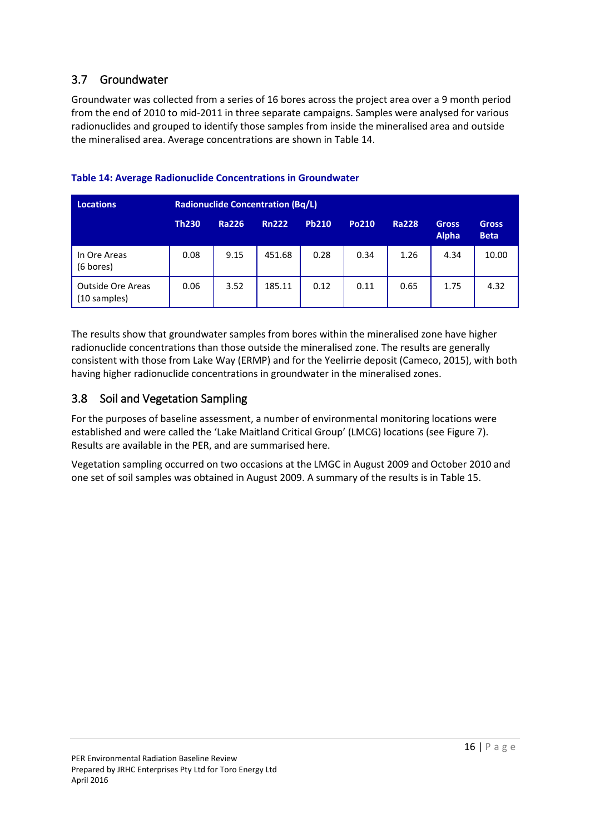### <span id="page-15-0"></span>3.7 Groundwater

Groundwater was collected from a series of 16 bores across the project area over a 9 month period from the end of 2010 to mid-2011 in three separate campaigns. Samples were analysed for various radionuclides and grouped to identify those samples from inside the mineralised area and outside the mineralised area. Average concentrations are shown i[n Table 14.](#page-15-2)

| <b>Locations</b>                         | <b>Radionuclide Concentration (Bq/L)</b> |              |              |              |       |              |                              |                             |
|------------------------------------------|------------------------------------------|--------------|--------------|--------------|-------|--------------|------------------------------|-----------------------------|
|                                          | <b>Th230</b>                             | <b>Ra226</b> | <b>Rn222</b> | <b>Pb210</b> | Po210 | <b>Ra228</b> | <b>Gross</b><br><b>Alpha</b> | <b>Gross</b><br><b>Beta</b> |
| In Ore Areas<br>(6 bores)                | 0.08                                     | 9.15         | 451.68       | 0.28         | 0.34  | 1.26         | 4.34                         | 10.00                       |
| <b>Outside Ore Areas</b><br>(10 samples) | 0.06                                     | 3.52         | 185.11       | 0.12         | 0.11  | 0.65         | 1.75                         | 4.32                        |

### <span id="page-15-2"></span>**Table 14: Average Radionuclide Concentrations in Groundwater**

The results show that groundwater samples from bores within the mineralised zone have higher radionuclide concentrations than those outside the mineralised zone. The results are generally consistent with those from Lake Way (ERMP) and for the Yeelirrie deposit (Cameco, 2015), with both having higher radionuclide concentrations in groundwater in the mineralised zones.

### <span id="page-15-1"></span>3.8 Soil and Vegetation Sampling

For the purposes of baseline assessment, a number of environmental monitoring locations were established and were called the 'Lake Maitland Critical Group' (LMCG) locations (see [Figure 7\)](#page-16-0). Results are available in the PER, and are summarised here.

Vegetation sampling occurred on two occasions at the LMGC in August 2009 and October 2010 and one set of soil samples was obtained in August 2009. A summary of the results is in [Table 15.](#page-16-1)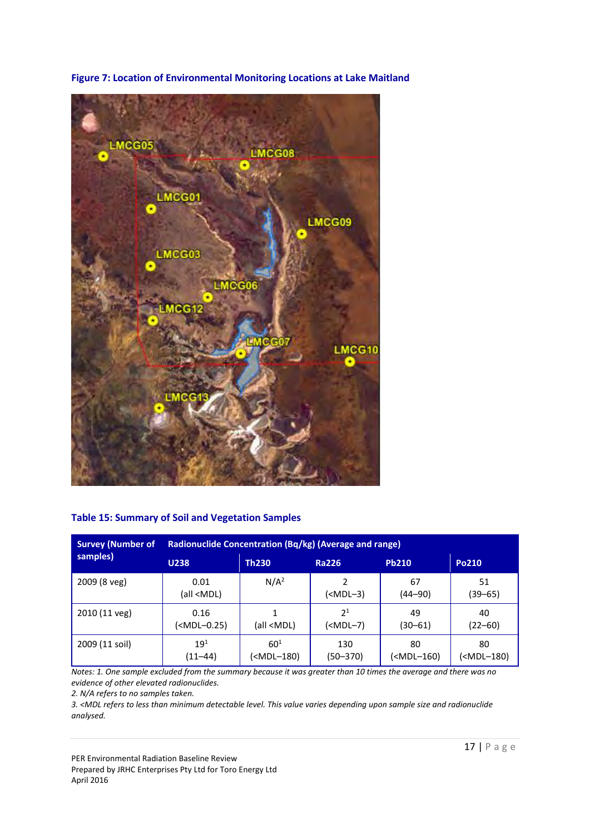<span id="page-16-0"></span>

**Figure 7: Location of Environmental Monitoring Locations at Lake Maitland** 

#### <span id="page-16-1"></span>**Table 15: Summary of Soil and Vegetation Samples**

| <b>Survey (Number of</b> | Radionuclide Concentration (Bq/kg) (Average and range)                                                                                                                                         |                                                                                                                                                                                 |                                                                                                            |                                                                                     |                                       |  |  |
|--------------------------|------------------------------------------------------------------------------------------------------------------------------------------------------------------------------------------------|---------------------------------------------------------------------------------------------------------------------------------------------------------------------------------|------------------------------------------------------------------------------------------------------------|-------------------------------------------------------------------------------------|---------------------------------------|--|--|
| samples)                 | <b>U238</b>                                                                                                                                                                                    | <b>Th230</b>                                                                                                                                                                    | <b>Ra226</b>                                                                                               | <b>Pb210</b>                                                                        | Po210                                 |  |  |
| 2009 (8 veg)             | 0.01<br>(all <mdl)< td=""><td>N/A<sup>2</sup></td><td>(<mdl-3)< td=""><td>67<br/><math>(44 - 90)</math></td><td>51<br/>(39–65)</td></mdl-3)<></td></mdl)<>                                     | N/A <sup>2</sup>                                                                                                                                                                | ( <mdl-3)< td=""><td>67<br/><math>(44 - 90)</math></td><td>51<br/>(39–65)</td></mdl-3)<>                   | 67<br>$(44 - 90)$                                                                   | 51<br>(39–65)                         |  |  |
| 2010 (11 veg)            | 0.16<br>( <mdl-0.25)< td=""><td>(all <mdl)< td=""><td>2<sup>1</sup><br/>(<mdl-7)< td=""><td>49<br/>(30–61)</td><td>40<br/><math>(22 - 60)</math></td></mdl-7)<></td></mdl)<></td></mdl-0.25)<> | (all <mdl)< td=""><td>2<sup>1</sup><br/>(<mdl-7)< td=""><td>49<br/>(30–61)</td><td>40<br/><math>(22 - 60)</math></td></mdl-7)<></td></mdl)<>                                    | 2 <sup>1</sup><br>( <mdl-7)< td=""><td>49<br/>(30–61)</td><td>40<br/><math>(22 - 60)</math></td></mdl-7)<> | 49<br>(30–61)                                                                       | 40<br>$(22 - 60)$                     |  |  |
| 2009 (11 soil)           | $19^{1}$<br>$(11 - 44)$                                                                                                                                                                        | $60^{1}$<br>( <mdl-180)< td=""><td>130<br/><math>(50 - 370)</math></td><td>80<br/>(<mdl-160)< td=""><td>80<br/>(<mdl-180)< td=""></mdl-180)<></td></mdl-160)<></td></mdl-180)<> | 130<br>$(50 - 370)$                                                                                        | 80<br>( <mdl-160)< td=""><td>80<br/>(<mdl-180)< td=""></mdl-180)<></td></mdl-160)<> | 80<br>( <mdl-180)< td=""></mdl-180)<> |  |  |

*Notes: 1. One sample excluded from the summary because it was greater than 10 times the average and there was no evidence of other elevated radionuclides.* 

*2. N/A refers to no samples taken.* 

*3. <MDL refers to less than minimum detectable level. This value varies depending upon sample size and radionuclide analysed.* 

PER Environmental Radiation Baseline Review

Prepared by JRHC Enterprises Pty Ltd for Toro Energy Ltd April 2016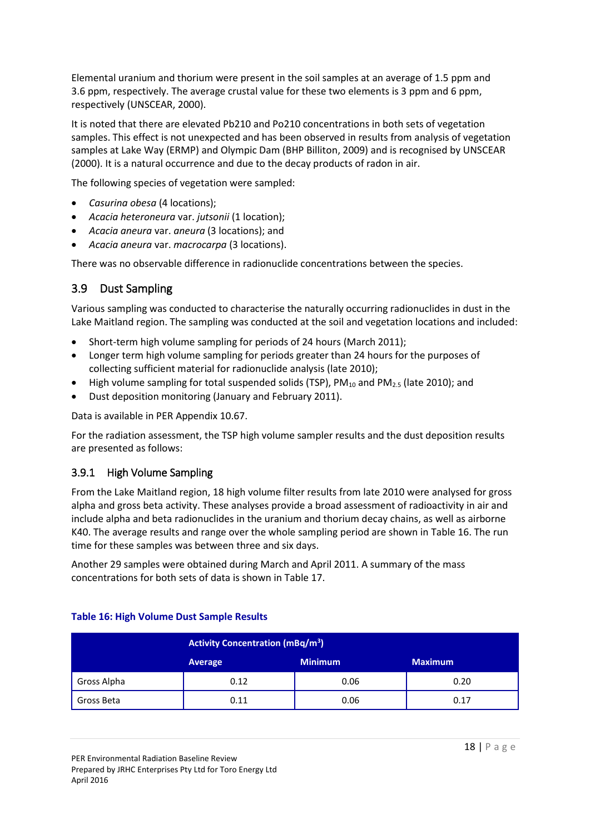Elemental uranium and thorium were present in the soil samples at an average of 1.5 ppm and 3.6 ppm, respectively. The average crustal value for these two elements is 3 ppm and 6 ppm, respectively (UNSCEAR, 2000).

It is noted that there are elevated Pb210 and Po210 concentrations in both sets of vegetation samples. This effect is not unexpected and has been observed in results from analysis of vegetation samples at Lake Way (ERMP) and Olympic Dam (BHP Billiton, 2009) and is recognised by UNSCEAR (2000). It is a natural occurrence and due to the decay products of radon in air.

The following species of vegetation were sampled:

- *Casurina obesa* (4 locations);
- *Acacia heteroneura* var. *jutsonii* (1 location);
- *Acacia aneura* var. *aneura* (3 locations); and
- *Acacia aneura* var. *macrocarpa* (3 locations).

There was no observable difference in radionuclide concentrations between the species.

### <span id="page-17-0"></span>3.9 Dust Sampling

Various sampling was conducted to characterise the naturally occurring radionuclides in dust in the Lake Maitland region. The sampling was conducted at the soil and vegetation locations and included:

- Short-term high volume sampling for periods of 24 hours (March 2011);
- Longer term high volume sampling for periods greater than 24 hours for the purposes of collecting sufficient material for radionuclide analysis (late 2010);
- High volume sampling for total suspended solids (TSP),  $PM_{10}$  and  $PM_{2.5}$  (late 2010); and
- Dust deposition monitoring (January and February 2011).

Data is available in PER Appendix 10.67.

For the radiation assessment, the TSP high volume sampler results and the dust deposition results are presented as follows:

### <span id="page-17-1"></span>3.9.1 High Volume Sampling

From the Lake Maitland region, 18 high volume filter results from late 2010 were analysed for gross alpha and gross beta activity. These analyses provide a broad assessment of radioactivity in air and include alpha and beta radionuclides in the uranium and thorium decay chains, as well as airborne K40. The average results and range over the whole sampling period are shown in [Table 16.](#page-17-2) The run time for these samples was between three and six days.

Another 29 samples were obtained during March and April 2011. A summary of the mass concentrations for both sets of data is shown in [Table 17.](#page-18-1)

|             | <b>Activity Concentration (mBq/m<sup>3</sup>)</b> |                |                |  |  |  |
|-------------|---------------------------------------------------|----------------|----------------|--|--|--|
|             | Average                                           | <b>Minimum</b> | <b>Maximum</b> |  |  |  |
| Gross Alpha | 0.12                                              | 0.06           | 0.20           |  |  |  |
| Gross Beta  | 0.11                                              | 0.06           | 0.17           |  |  |  |

#### <span id="page-17-2"></span>**Table 16: High Volume Dust Sample Results**

PER Environmental Radiation Baseline Review Prepared by JRHC Enterprises Pty Ltd for Toro Energy Ltd April 2016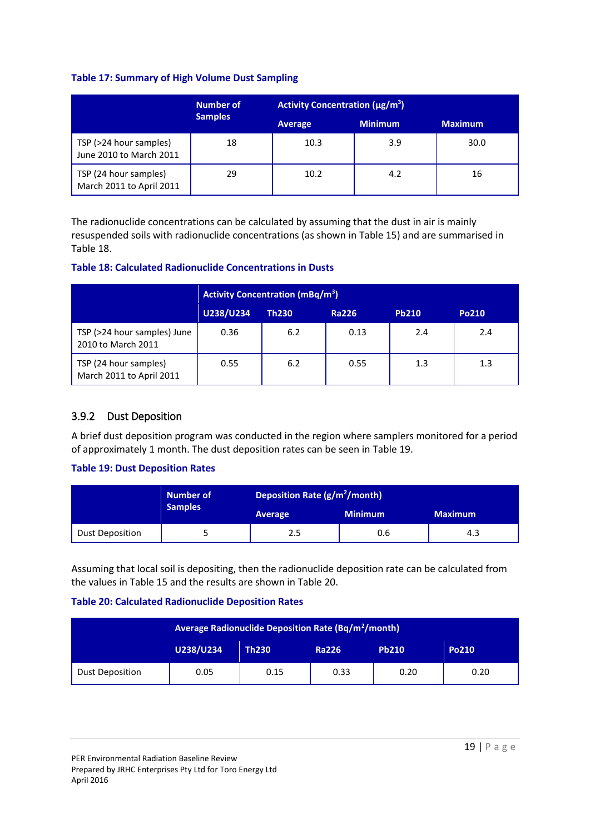#### <span id="page-18-1"></span>**Table 17: Summary of High Volume Dust Sampling**

|                                                   | <b>Number of</b> | <b>Activity Concentration (µg/m<sup>3</sup>)</b> |                |                |  |
|---------------------------------------------------|------------------|--------------------------------------------------|----------------|----------------|--|
|                                                   | <b>Samples</b>   | Average                                          | <b>Minimum</b> | <b>Maximum</b> |  |
| TSP (>24 hour samples)<br>June 2010 to March 2011 | 18               | 10.3                                             | 3.9            | 30.0           |  |
| TSP (24 hour samples)<br>March 2011 to April 2011 | 29               | 10.2                                             | 4.2            | 16             |  |

The radionuclide concentrations can be calculated by assuming that the dust in air is mainly resuspended soils with radionuclide concentrations (as shown i[n Table 15\)](#page-16-1) and are summarised in [Table 18.](#page-18-2)

#### <span id="page-18-2"></span>**Table 18: Calculated Radionuclide Concentrations in Dusts**

|                                                   | <b>Activity Concentration (mBq/m<sup>3</sup>)</b> |              |              |              |       |  |
|---------------------------------------------------|---------------------------------------------------|--------------|--------------|--------------|-------|--|
|                                                   | U238/U234                                         | <b>Th230</b> | <b>Ra226</b> | <b>Pb210</b> | Po210 |  |
| TSP (>24 hour samples) June<br>2010 to March 2011 | 0.36                                              | 6.2          | 0.13         | 2.4          | 2.4   |  |
| TSP (24 hour samples)<br>March 2011 to April 2011 | 0.55                                              | 6.2          | 0.55         | 1.3          | 1.3   |  |

### <span id="page-18-0"></span>3.9.2 Dust Deposition

A brief dust deposition program was conducted in the region where samplers monitored for a period of approximately 1 month. The dust deposition rates can be seen in [Table 19.](#page-18-3)

### <span id="page-18-3"></span>**Table 19: Dust Deposition Rates**

|                        | Number of      | Deposition Rate (g/m <sup>2</sup> /month) |                |                |  |
|------------------------|----------------|-------------------------------------------|----------------|----------------|--|
|                        | <b>Samples</b> | Average                                   | <b>Minimum</b> | <b>Maximum</b> |  |
| <b>Dust Deposition</b> |                | 2.5                                       | 0.6            | 4.3            |  |

Assuming that local soil is depositing, then the radionuclide deposition rate can be calculated from the values in [Table 15](#page-16-1) and the results are shown i[n Table 20.](#page-18-4)

### <span id="page-18-4"></span>**Table 20: Calculated Radionuclide Deposition Rates**

|                        | <b>Average Radionuclide Deposition Rate (Bq/m<sup>2</sup>/month)</b> |              |              |              |       |  |
|------------------------|----------------------------------------------------------------------|--------------|--------------|--------------|-------|--|
|                        | U238/U234                                                            | <b>Th230</b> | <b>Ra226</b> | <b>Pb210</b> | Po210 |  |
| <b>Dust Deposition</b> | 0.05                                                                 | 0.15         | 0.33         | 0.20         | 0.20  |  |

PER Environmental Radiation Baseline Review Prepared by JRHC Enterprises Pty Ltd for Toro Energy Ltd April 2016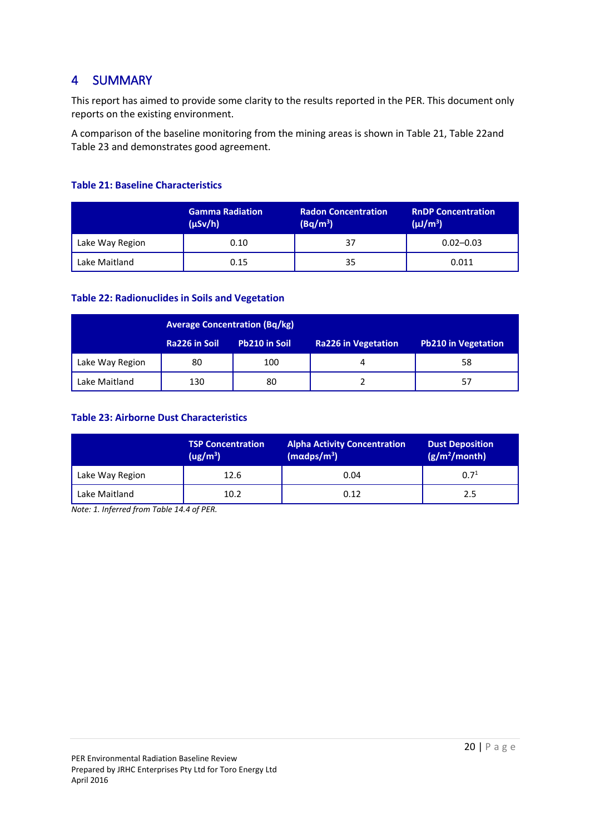## <span id="page-19-0"></span>4 SUMMARY

This report has aimed to provide some clarity to the results reported in the PER. This document only reports on the existing environment.

A comparison of the baseline monitoring from the mining areas is shown in [Table 21,](#page-19-1) [Table 22a](#page-19-2)nd [Table 23](#page-19-3) and demonstrates good agreement.

### <span id="page-19-1"></span>**Table 21: Baseline Characteristics**

|                 | <b>Gamma Radiation</b><br>$(\mu Sv/h)$ | <b>Radon Concentration</b><br>$(Bq/m^3)$ | <b>RnDP Concentration</b><br>$(\mu J/m^3)$ |
|-----------------|----------------------------------------|------------------------------------------|--------------------------------------------|
| Lake Way Region | 0.10                                   | 37                                       | $0.02 - 0.03$                              |
| Lake Maitland   | 0.15                                   | 35                                       | 0.011                                      |

### <span id="page-19-2"></span>**Table 22: Radionuclides in Soils and Vegetation**

|                 | <b>Average Concentration (Bq/kg)</b> |               |                            |                     |  |
|-----------------|--------------------------------------|---------------|----------------------------|---------------------|--|
|                 | Ra226 in Soil                        | Pb210 in Soil | <b>Ra226 in Vegetation</b> | Pb210 in Vegetation |  |
| Lake Way Region | 80                                   | 100           |                            | 58                  |  |
| Lake Maitland   | 130                                  | 80            |                            | 57                  |  |

#### <span id="page-19-3"></span>**Table 23: Airborne Dust Characteristics**

|                 | <b>TSP Concentration</b><br>(ug/m <sup>3</sup> ) | <b>Alpha Activity Concentration</b><br>$(m\alpha dps/m^3)$ | <b>Dust Deposition</b><br>(g/m <sup>2</sup> /month) |
|-----------------|--------------------------------------------------|------------------------------------------------------------|-----------------------------------------------------|
| Lake Way Region | 12.6                                             | 0.04                                                       | 0.7 <sup>1</sup>                                    |
| Lake Maitland   | 10.2                                             | 0.12                                                       | 2.5                                                 |

*Note: 1. Inferred from Table 14.4 of PER.*